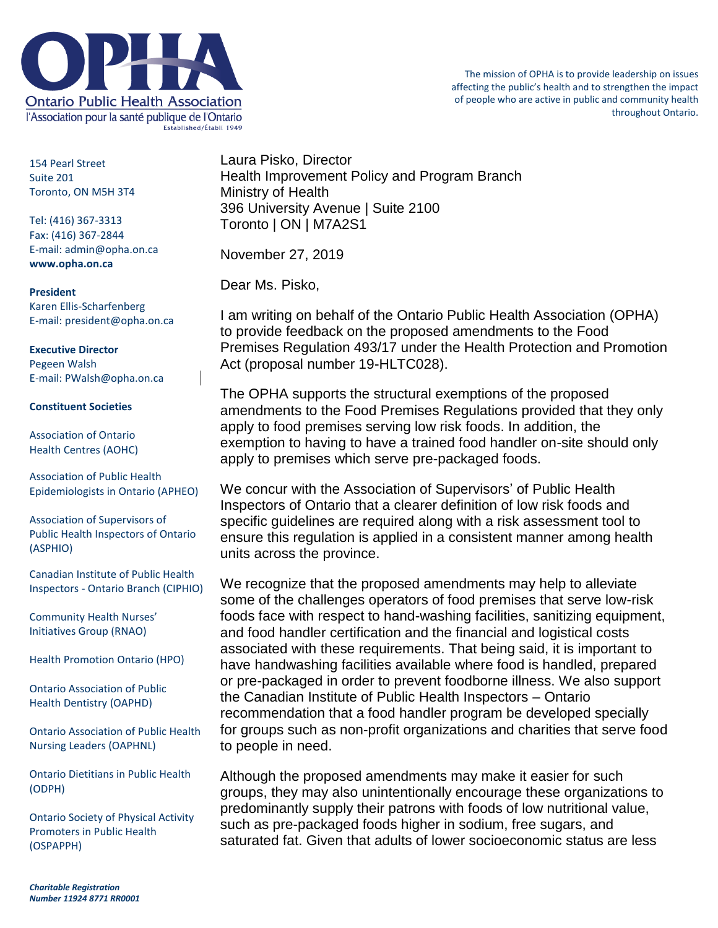

154 Pearl Street Suite 201 Toronto, ON M5H 3T4

Tel: (416) 367-3313 Fax: (416) 367-2844 E-mail: admin@opha.on.ca **www.opha.on.ca**

**President** Karen Ellis-Scharfenberg E-mail: president@opha.on.ca

**Executive Director** Pegeen Walsh E-mail: PWalsh@opha.on.ca

## **Constituent Societies**

Association of Ontario Health Centres (AOHC)

Association of Public Health Epidemiologists in Ontario (APHEO)

Association of Supervisors of Public Health Inspectors of Ontario (ASPHIO)

Canadian Institute of Public Health Inspectors - Ontario Branch (CIPHIO)

Community Health Nurses' Initiatives Group (RNAO)

Health Promotion Ontario (HPO)

Ontario Association of Public Health Dentistry (OAPHD)

Ontario Association of Public Health Nursing Leaders (OAPHNL)

Ontario Dietitians in Public Health (ODPH)

Ontario Society of Physical Activity Promoters in Public Health (OSPAPPH)

Laura Pisko, Director Health Improvement Policy and Program Branch Ministry of Health 396 University Avenue | Suite 2100 Toronto | ON | M7A2S1

November 27, 2019

Dear Ms. Pisko,

I am writing on behalf of the Ontario Public Health Association (OPHA) to provide feedback on the proposed amendments to the Food Premises Regulation 493/17 under the Health Protection and Promotion Act (proposal number 19-HLTC028).

The OPHA supports the structural exemptions of the proposed amendments to the Food Premises Regulations provided that they only apply to food premises serving low risk foods. In addition, the exemption to having to have a trained food handler on-site should only apply to premises which serve pre-packaged foods.

We concur with the Association of Supervisors' of Public Health Inspectors of Ontario that a clearer definition of low risk foods and specific guidelines are required along with a risk assessment tool to ensure this regulation is applied in a consistent manner among health units across the province.

We recognize that the proposed amendments may help to alleviate some of the challenges operators of food premises that serve low-risk foods face with respect to hand-washing facilities, sanitizing equipment, and food handler certification and the financial and logistical costs associated with these requirements. That being said, it is important to have handwashing facilities available where food is handled, prepared or pre-packaged in order to prevent foodborne illness. We also support the Canadian Institute of Public Health Inspectors – Ontario recommendation that a food handler program be developed specially for groups such as non-profit organizations and charities that serve food to people in need.

Although the proposed amendments may make it easier for such groups, they may also unintentionally encourage these organizations to predominantly supply their patrons with foods of low nutritional value, such as pre-packaged foods higher in sodium, free sugars, and saturated fat. Given that adults of lower socioeconomic status are less